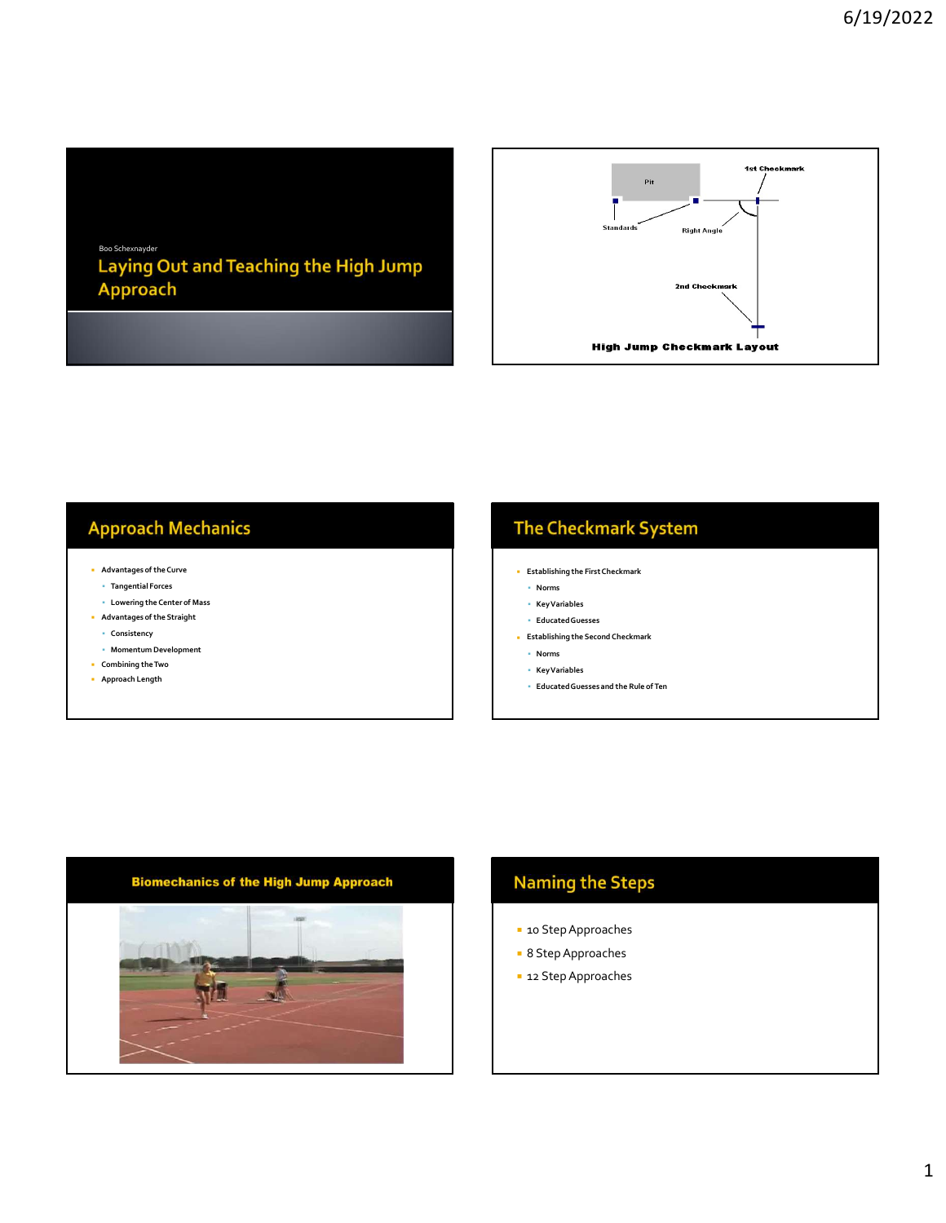# Boo Schexnayder<br>Laying Out and Teaching the High Jump Approach



#### **Approach Mechanics**

- Advantages of the Curve
	- Tangential Forces
- Lowering the Center of Mass
- Advantages of the Straight
- Consistency
- Momentum Development
- Combining the Two
- Approach Length

#### **The Checkmark System**

- Establishing the First Checkmark
	- Norms
- Key Variables
- Educated Guesses
- Establishing the Second Checkmark
- Norms
- Key Variables
- Educated Guesses and the Rule of Ten



#### **Naming the Steps**

- **10 Step Approaches**
- 8 Step Approaches
- **12 Step Approaches**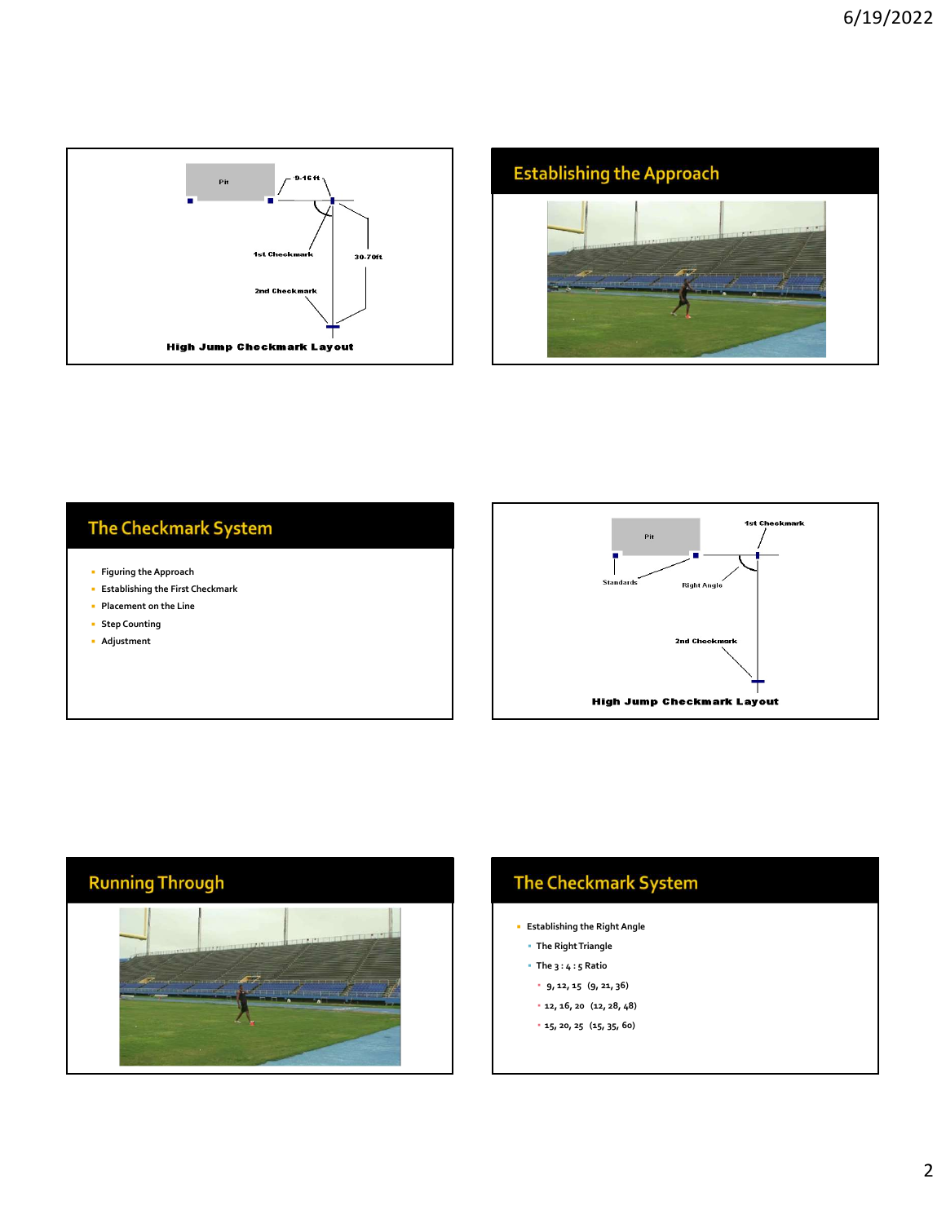



### **The Checkmark System**

- **Figuring the Approach**
- **Establishing the First Checkmark**
- **Placement on the Line**
- **Step Counting**
- Adjustment





## The Checkmark System

- Establishing the Right Angle
- The Right Triangle
- $\blacksquare$  The  $3:4:5$  Ratio
	- 9, 12, 15 (9, 21, 36)
- 12, 16, 20 (12, 28, 48)
- 15, 20, 25 (15, 35, 60)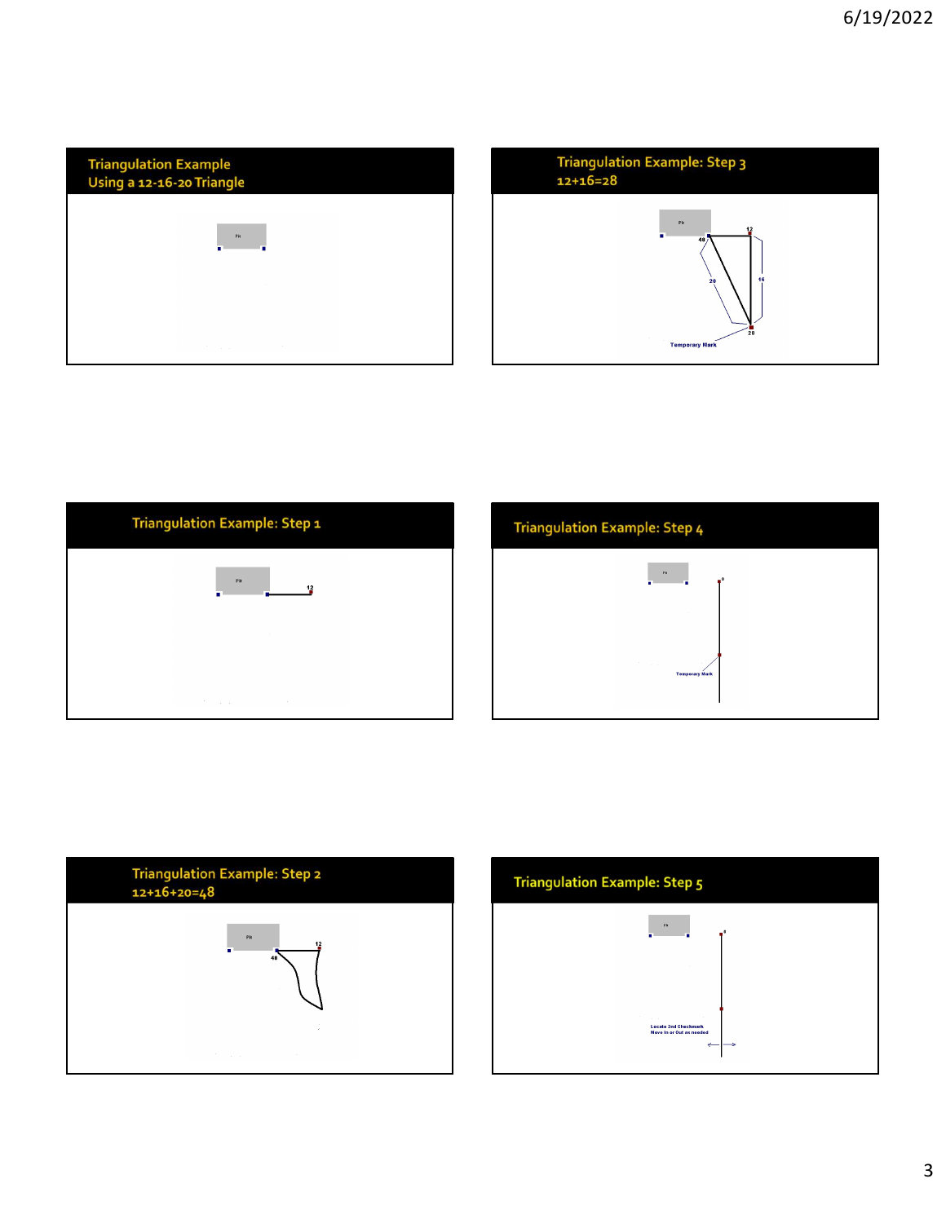| <b>Triangulation Example</b><br>Using a 12-16-20 Triangle |                       |  |
|-----------------------------------------------------------|-----------------------|--|
|                                                           | Pit<br>п              |  |
|                                                           |                       |  |
|                                                           | $\sim$<br>The Control |  |









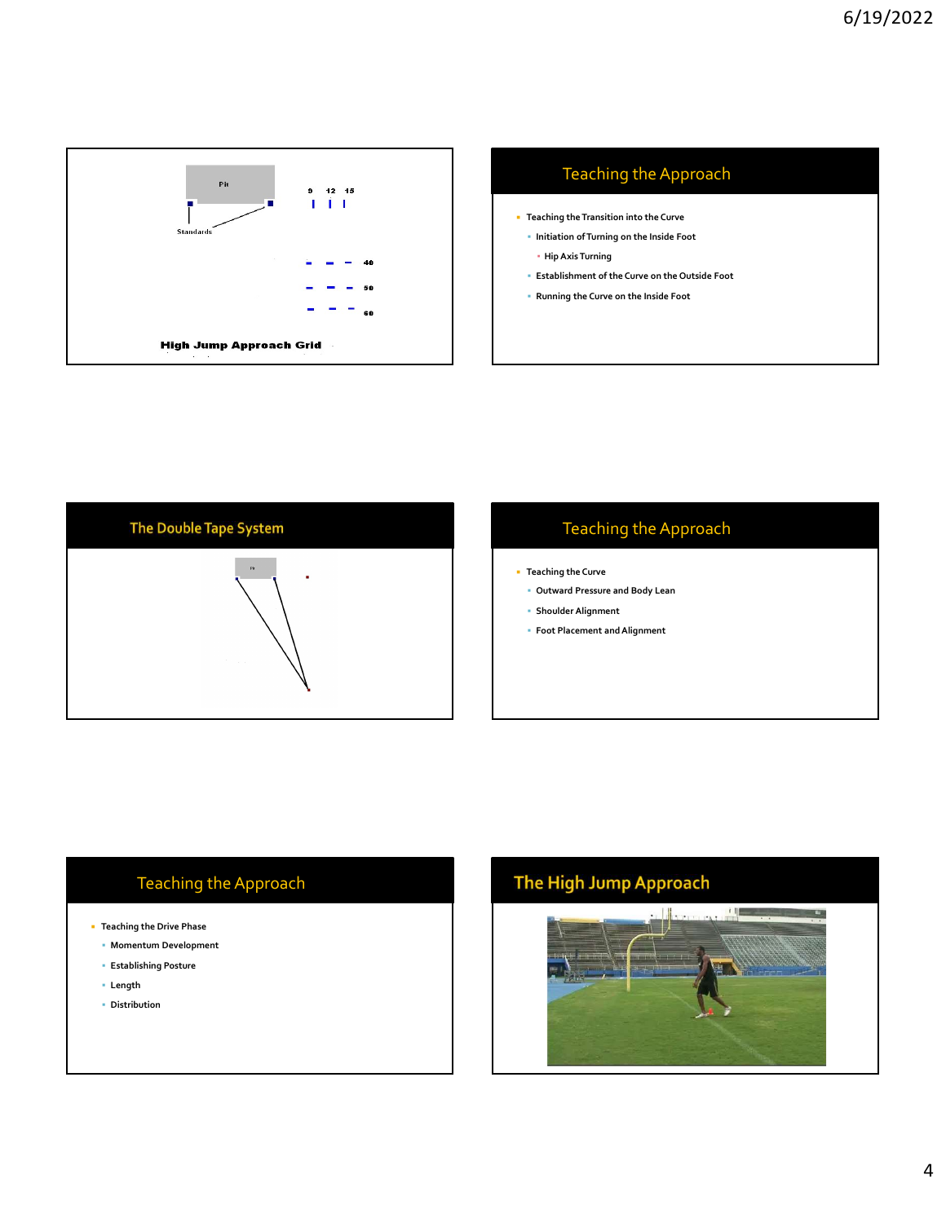





#### Teaching the Approach

- **Teaching the Curve** 
	- Outward Pressure and Body Lean
	- Shoulder Alignment
	- Foot Placement and Alignment

- Teaching the Drive Phase
	- Momentum Development
	- Establishing Posture
	- Length
	- **Distribution**

# Teaching the Approach **The High Jump Approach** 上图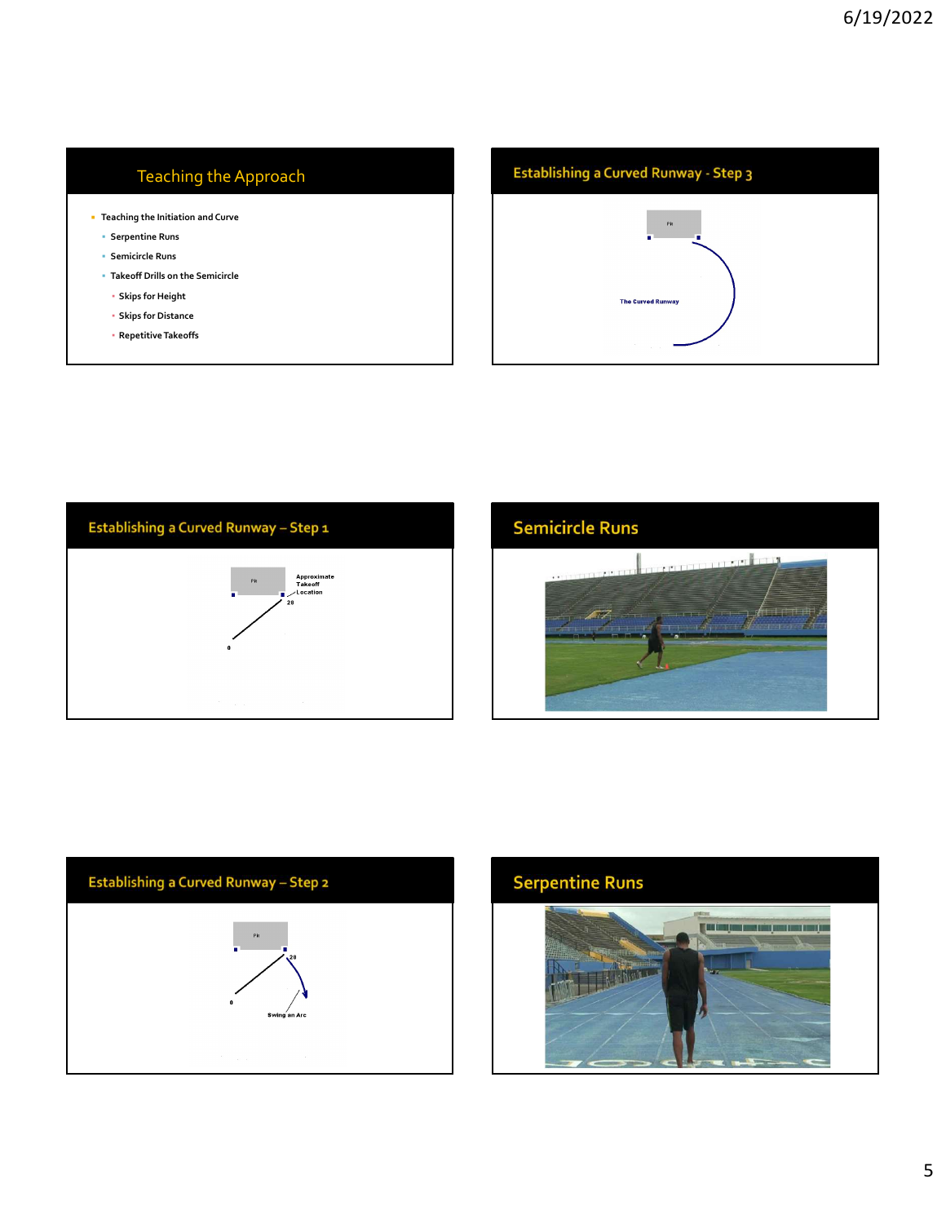#### Teaching the Approach

- Teaching the Initiation and Curve
	- Serpentine Runs
	- Semicircle Runs
	- Takeoff Drills on the Semicircle
	- Skips for Height
	- Skips for Distance
	- Repetitive Takeoffs